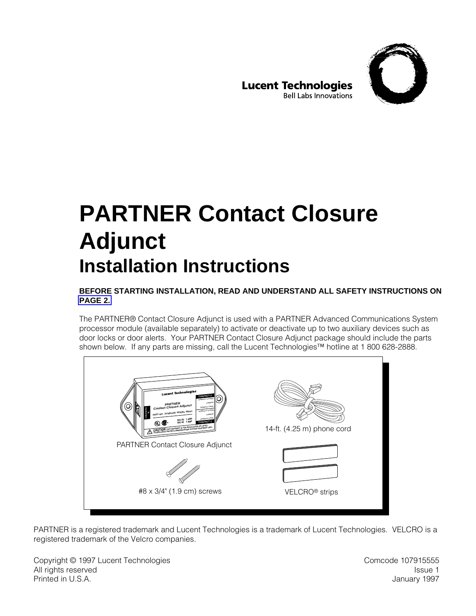

**Lucent Technologies Bell Labs Innovations** 

# **PARTNER Contact Closure Adjunct Installation Instructions**

#### **BEFORE STARTING INSTALLATION, READ AND UNDERSTAND ALL SAFETY INSTRUCTIONS ON [PAGE 2.](#page-1-0)**

The PARTNER® Contact Closure Adjunct is used with a PARTNER Advanced Communications System processor module (available separately) to activate or deactivate up to two auxiliary devices such as door locks or door alerts. Your PARTNER Contact Closure Adjunct package should include the parts shown below. If any parts are missing, call the Lucent Technologies™ hotline at 1 800 628-2888.



PARTNER is a registered trademark and Lucent Technologies is a trademark of Lucent Technologies. VELCRO is a registered trademark of the Velcro companies.

Copyright © 1997 Lucent Technologies **Computer Computer Computer Computer Computer** Comcode 107915555 All rights reserved and the set of the set of the set of the set of the set of the set of the set of the set of the set of the set of the set of the set of the set of the set of the set of the set of the set of the set of Printed in U.S.A. January 1997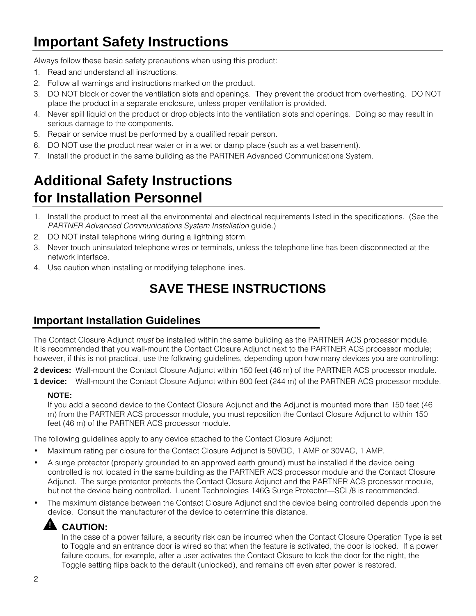## <span id="page-1-0"></span>**Important Safety Instructions**

Always follow these basic safety precautions when using this product:

- 1. Read and understand all instructions.
- 2. Follow all warnings and instructions marked on the product.
- 3. DO NOT block or cover the ventilation slots and openings. They prevent the product from overheating. DO NOT place the product in a separate enclosure, unless proper ventilation is provided.
- 4. Never spill liquid on the product or drop objects into the ventilation slots and openings. Doing so may result in serious damage to the components.
- 5. Repair or service must be performed by a qualified repair person.
- 6. DO NOT use the product near water or in a wet or damp place (such as a wet basement).
- 7. Install the product in the same building as the PARTNER Advanced Communications System.

## **Additional Safety Instructions for Installation Personnel**

- 1. Install the product to meet all the environmental and electrical requirements listed in the specifications. (See the PARTNER Advanced Communications System Installation guide.)
- 2. DO NOT install telephone wiring during a lightning storm.
- 3. Never touch uninsulated telephone wires or terminals, unless the telephone line has been disconnected at the network interface.
- 4. Use caution when installing or modifying telephone lines.

## **SAVE THESE INSTRUCTIONS**

### **Important Installation Guidelines**

The Contact Closure Adjunct *must* be installed within the same building as the PARTNER ACS processor module. It is recommended that you wall-mount the Contact Closure Adjunct next to the PARTNER ACS processor module; however, if this is not practical, use the following guidelines, depending upon how many devices you are controlling:

**2 devices:** Wall-mount the Contact Closure Adjunct within 150 feet (46 m) of the PARTNER ACS processor module. **1 device:** Wall-mount the Contact Closure Adjunct within 800 feet (244 m) of the PARTNER ACS processor module.

#### **NOTE:**

If you add a second device to the Contact Closure Adjunct and the Adjunct is mounted more than 150 feet (46 m) from the PARTNER ACS processor module, you must reposition the Contact Closure Adjunct to within 150 feet (46 m) of the PARTNER ACS processor module.

The following guidelines apply to any device attached to the Contact Closure Adjunct:

- Maximum rating per closure for the Contact Closure Adjunct is 50VDC, 1 AMP or 30VAC, 1 AMP.
- A surge protector (properly grounded to an approved earth ground) must be installed if the device being controlled is not located in the same building as the PARTNER ACS processor module and the Contact Closure Adjunct. The surge protector protects the Contact Closure Adjunct and the PARTNER ACS processor module, but not the device being controlled. Lucent Technologies 146G Surge Protector—SCL/8 is recommended.
- The maximum distance between the Contact Closure Adjunct and the device being controlled depends upon the device. Consult the manufacturer of the device to determine this distance.

#### !**A** CAUTION:

In the case of a power failure, a security risk can be incurred when the Contact Closure Operation Type is set to Toggle and an entrance door is wired so that when the feature is activated, the door is locked. If a power failure occurs, for example, after a user activates the Contact Closure to lock the door for the night, the Toggle setting flips back to the default (unlocked), and remains off even after power is restored.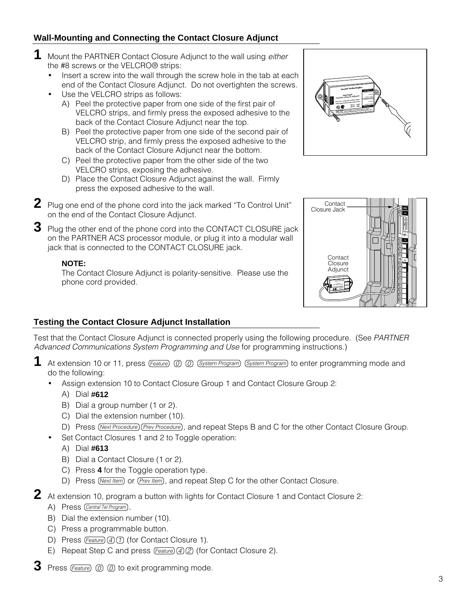#### **Wall-Mounting and Connecting the Contact Closure Adjunct**

- **1** Mount the PARTNER Contact Closure Adjunct to the wall using either the #8 screws or the VELCRO® strips:
	- Insert a screw into the wall through the screw hole in the tab at each end of the Contact Closure Adjunct. Do not overtighten the screws.
	- Use the VELCRO strips as follows:
		- A) Peel the protective paper from one side of the first pair of VELCRO strips, and firmly press the exposed adhesive to the back of the Contact Closure Adjunct near the top.
		- B) Peel the protective paper from one side of the second pair of VELCRO strip, and firmly press the exposed adhesive to the back of the Contact Closure Adjunct near the bottom.
		- C) Peel the protective paper from the other side of the two VELCRO strips, exposing the adhesive.
		- D) Place the Contact Closure Adjunct against the wall. Firmly press the exposed adhesive to the wall.
- **2** Plug one end of the phone cord into the jack marked "To Control Unit" on the end of the Contact Closure Adjunct.
- **3** Plug the other end of the phone cord into the CONTACT CLOSURE jack on the PARTNER ACS processor module, or plug it into a modular wall jack that is connected to the CONTACT CLOSURE jack.

#### **NOTE:**

The Contact Closure Adjunct is polarity-sensitive. Please use the phone cord provided.





#### **Testing the Contact Closure Adjunct Installation**

Test that the Contact Closure Adjunct is connected properly using the following procedure. (See PARTNER Advanced Communications System Programming and Use for programming instructions.)

- 1 At extension 10 or 11, press (Feature)  $\oslash$   $\oslash$  (System Program) (System Program) to enter programming mode and do the following:
	- Assign extension 10 to Contact Closure Group 1 and Contact Closure Group 2:
		- A) Dial **#612**
		- B) Dial a group number (1 or 2).
		- C) Dial the extension number (10).
		- D) Press (Next Procedure) (Prev Procedure), and repeat Steps B and C for the other Contact Closure Group.
	- Set Contact Closures 1 and 2 to Toggle operation:
		- A) Dial **#613**
		- B) Dial a Contact Closure (1 or 2).
		- C) Press **4** for the Toggle operation type.
		- D) Press (Next Item) or (Prev Item), and repeat Step C for the other Contact Closure.
- **2** At extension 10, program a button with lights for Contact Closure 1 and Contact Closure 2:
	- A) Press (Central Tel Program).
	- B) Dial the extension number (10).
	- C) Press a programmable button.
	- D) Press  $(Feature)(4)$  (for Contact Closure 1).
	- E) Repeat Step C and press Feature 4 2 (for Contact Closure 2).
- **3** Press  $\sqrt{F_{\text{feature}}}$   $\textcircled{0}$   $\textcircled{0}$  to exit programming mode.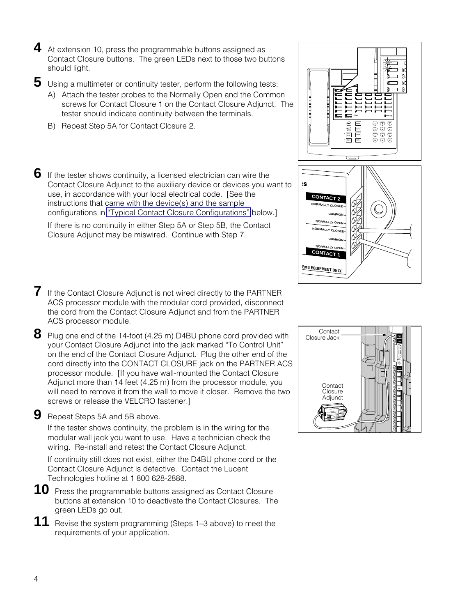**4** At extension 10, press the programmable buttons assigned as Contact Closure buttons. The green LEDs next to those two buttons should light.

**5** Using a multimeter or continuity tester, perform the following tests:

- A) Attach the tester probes to the Normally Open and the Common screws for Contact Closure 1 on the Contact Closure Adjunct. The tester should indicate continuity between the terminals.
- B) Repeat Step 5A for Contact Closure 2.
- **6** If the tester shows continuity, a licensed electrician can wire the Contact Closure Adjunct to the auxiliary device or devices you want to use, in accordance with your local electrical code. [See the instructions that came with the device(s) and the sample configurations in ["Typical Contact Closure Configurations"](#page-4-0) below.]

If there is no continuity in either Step 5A or Step 5B, the Contact Closure Adjunct may be miswired. Continue with Step 7.

- **7** If the Contact Closure Adjunct is not wired directly to the PARTNER ACS processor module with the modular cord provided, disconnect the cord from the Contact Closure Adjunct and from the PARTNER ACS processor module.
- **8** Plug one end of the 14-foot (4.25 m) D4BU phone cord provided with your Contact Closure Adjunct into the jack marked "To Control Unit" on the end of the Contact Closure Adjunct. Plug the other end of the cord directly into the CONTACT CLOSURE jack on the PARTNER ACS processor module. [If you have wall-mounted the Contact Closure Adjunct more than 14 feet (4.25 m) from the processor module, you will need to remove it from the wall to move it closer. Remove the two screws or release the VELCRO fastener.]

**9** Repeat Steps 5A and 5B above.

If the tester shows continuity, the problem is in the wiring for the modular wall jack you want to use. Have a technician check the wiring. Re-install and retest the Contact Closure Adjunct.

If continuity still does not exist, either the D4BU phone cord or the Contact Closure Adjunct is defective. Contact the Lucent Technologies hotline at 1 800 628-2888.

**10** Press the programmable buttons assigned as Contact Closure buttons at extension 10 to deactivate the Contact Closures. The green LEDs go out.

**11** Revise the system programming (Steps 1–3 above) to meet the requirements of your application.



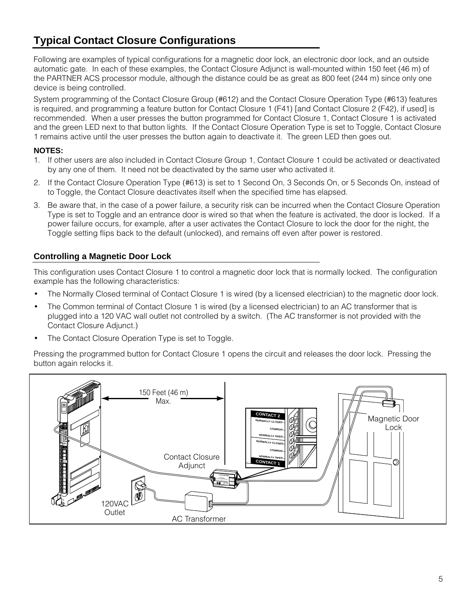## <span id="page-4-0"></span>**Typical Contact Closure Configurations**

Following are examples of typical configurations for a magnetic door lock, an electronic door lock, and an outside automatic gate. In each of these examples, the Contact Closure Adjunct is wall-mounted within 150 feet (46 m) of the PARTNER ACS processor module, although the distance could be as great as 800 feet (244 m) since only one device is being controlled.

System programming of the Contact Closure Group (#612) and the Contact Closure Operation Type (#613) features is required, and programming a feature button for Contact Closure 1 (F41) [and Contact Closure 2 (F42), if used] is recommended. When a user presses the button programmed for Contact Closure 1, Contact Closure 1 is activated and the green LED next to that button lights. If the Contact Closure Operation Type is set to Toggle, Contact Closure 1 remains active until the user presses the button again to deactivate it. The green LED then goes out.

#### **NOTES:**

- 1. If other users are also included in Contact Closure Group 1, Contact Closure 1 could be activated or deactivated by any one of them. It need not be deactivated by the same user who activated it.
- 2. If the Contact Closure Operation Type (#613) is set to 1 Second On, 3 Seconds On, or 5 Seconds On, instead of to Toggle, the Contact Closure deactivates itself when the specified time has elapsed.
- 3. Be aware that, in the case of a power failure, a security risk can be incurred when the Contact Closure Operation Type is set to Toggle and an entrance door is wired so that when the feature is activated, the door is locked. If a power failure occurs, for example, after a user activates the Contact Closure to lock the door for the night, the Toggle setting flips back to the default (unlocked), and remains off even after power is restored.

#### **Controlling a Magnetic Door Lock**

This configuration uses Contact Closure 1 to control a magnetic door lock that is normally locked. The configuration example has the following characteristics:

- The Normally Closed terminal of Contact Closure 1 is wired (by a licensed electrician) to the magnetic door lock.
- The Common terminal of Contact Closure 1 is wired (by a licensed electrician) to an AC transformer that is plugged into a 120 VAC wall outlet not controlled by a switch. (The AC transformer is not provided with the Contact Closure Adjunct.)
- The Contact Closure Operation Type is set to Toggle.

Pressing the programmed button for Contact Closure 1 opens the circuit and releases the door lock. Pressing the button again relocks it.